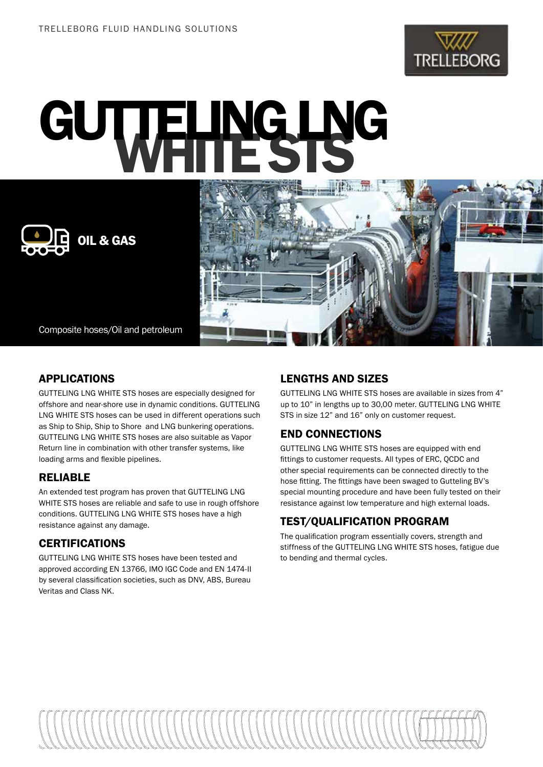

# GUTTELING LNG



Composite hoses/Oil and petroleum

## APPLICATIONS

GUTTELING LNG WHITE STS hoses are especially designed for offshore and near-shore use in dynamic conditions. GUTTELING LNG WHITE STS hoses can be used in different operations such as Ship to Ship, Ship to Shore and LNG bunkering operations. GUTTELING LNG WHITE STS hoses are also suitable as Vapor Return line in combination with other transfer systems, like loading arms and flexible pipelines.

### RELIABLE

An extended test program has proven that GUTTELING LNG WHITE STS hoses are reliable and safe to use in rough offshore conditions. GUTTELING LNG WHITE STS hoses have a high resistance against any damage.

# **CERTIFICATIONS**

GUTTELING LNG WHITE STS hoses have been tested and approved according EN 13766, IMO IGC Code and EN 1474-II by several classification societies, such as DNV, ABS, Bureau Veritas and Class NK.

#### LENGTHS AND SIZES

GUTTELING LNG WHITE STS hoses are available in sizes from 4" up to 10" in lengths up to 30,00 meter. GUTTELING LNG WHITE STS in size 12" and 16" only on customer request.

# END CONNECTIONS

GUTTELING LNG WHITE STS hoses are equipped with end fittings to customer requests. All types of ERC, QCDC and other special requirements can be connected directly to the hose fitting. The fittings have been swaged to Gutteling BV's special mounting procedure and have been fully tested on their resistance against low temperature and high external loads.

# TEST/QUALIFICATION PROGRAM

The qualification program essentially covers, strength and stiffness of the GUTTELING LNG WHITE STS hoses, fatigue due to bending and thermal cycles.